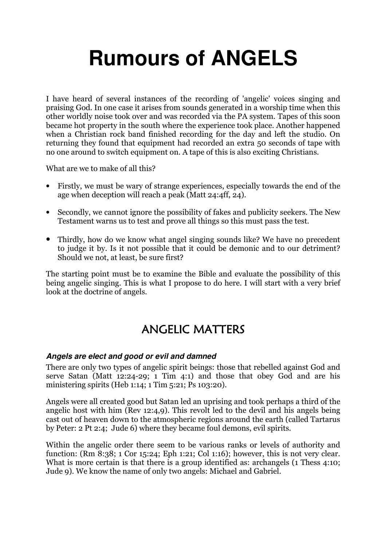# **Rumours of ANGELS**

I have heard of several instances of the recording of 'angelic' voices singing and praising God. In one case it arises from sounds generated in a worship time when this other worldly noise took over and was recorded via the PA system. Tapes of this soon became hot property in the south where the experience took place. Another happened when a Christian rock band finished recording for the day and left the studio. On returning they found that equipment had recorded an extra 50 seconds of tape with no one around to switch equipment on. A tape of this is also exciting Christians.

What are we to make of all this?

- Firstly, we must be wary of strange experiences, especially towards the end of the age when deception will reach a peak (Matt 24:4ff, 24).
- Secondly, we cannot ignore the possibility of fakes and publicity seekers. The New Testament warns us to test and prove all things so this must pass the test.
- Thirdly, how do we know what angel singing sounds like? We have no precedent to judge it by. Is it not possible that it could be demonic and to our detriment? Should we not, at least, be sure first?

The starting point must be to examine the Bible and evaluate the possibility of this being angelic singing. This is what I propose to do here. I will start with a very brief look at the doctrine of angels.

## ANGELIC MATTERS

#### **Angels are elect and good or evil and damned**

There are only two types of angelic spirit beings: those that rebelled against God and serve Satan (Matt 12:24-29; 1 Tim 4:1) and those that obey God and are his ministering spirits (Heb 1:14; 1 Tim 5:21; Ps 103:20).

Angels were all created good but Satan led an uprising and took perhaps a third of the angelic host with him (Rev 12:4,9). This revolt led to the devil and his angels being cast out of heaven down to the atmospheric regions around the earth (called Tartarus by Peter: 2 Pt 2:4; Jude 6) where they became foul demons, evil spirits.

Within the angelic order there seem to be various ranks or levels of authority and function: (Rm 8:38; 1 Cor 15:24; Eph 1:21; Col 1:16); however, this is not very clear. What is more certain is that there is a group identified as: archangels (1 Thess 4:10; Jude 9). We know the name of only two angels: Michael and Gabriel.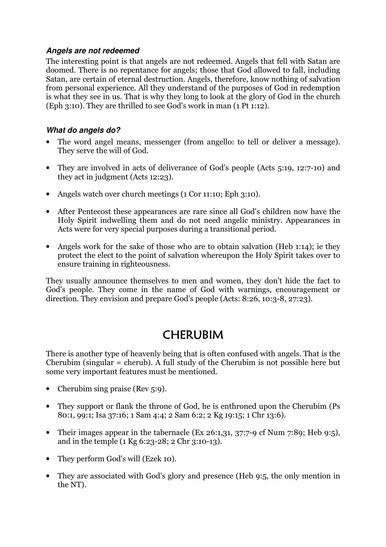#### **Angels are not redeemed**

The interesting point is that angels are not redeemed. Angels that fell with Satan are doomed. There is no repentance for angels; those that God allowed to fall, including Satan, are certain of eternal destruction. Angels, therefore, know nothing of salvation from personal experience. All they understand of the purposes of God in redemption is what they see in us. That is why they long to look at the glory of God in the church (Eph 3:10). They are thrilled to see God's work in man (1 Pt 1:12).

#### **What do angels do?**

- The word angel means, messenger (from angello: to tell or deliver a message). They serve the will of God.
- They are involved in acts of deliverance of God's people (Acts 5:19, 12:7-10) and they act in judgment (Acts 12:23).
- Angels watch over church meetings (1 Cor 11:10; Eph 3:10).
- After Pentecost these appearances are rare since all God's children now have the Holy Spirit indwelling them and do not need angelic ministry. Appearances in Acts were for very special purposes during a transitional period.
- Angels work for the sake of those who are to obtain salvation (Heb 1:14); ie they protect the elect to the point of salvation whereupon the Holy Spirit takes over to ensure training in righteousness.

They usually announce themselves to men and women, they don't hide the fact to God's people. They come in the name of God with warnings, encouragement or direction. They envision and prepare God's people (Acts: 8:26, 10:3-8, 27:23).

## CHERUBIM

There is another type of heavenly being that is often confused with angels. That is the Cherubim (singular = cherub). A full study of the Cherubim is not possible here but some very important features must be mentioned.

- Cherubim sing praise (Rev 5:9).
- They support or flank the throne of God, he is enthroned upon the Cherubim (Ps) 80:1, 99:1; Isa 37:16; 1 Sam 4:4; 2 Sam 6:2; 2 Kg 19:15; 1 Chr 13:6).
- Their images appear in the tabernacle (Ex 26:1,31, 37:7-9 cf Num 7:89; Heb 9:5), and in the temple (1 Kg 6:23-28; 2 Chr 3:10-13).
- They perform God's will (Ezek 10).
- They are associated with God's glory and presence (Heb 9:5, the only mention in the NT).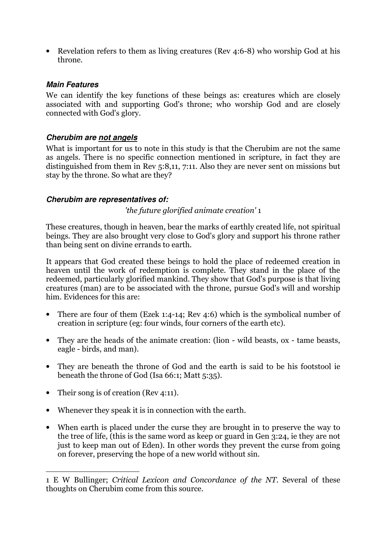• Revelation refers to them as living creatures (Rev 4:6-8) who worship God at his throne.

#### **Main Features**

We can identify the key functions of these beings as: creatures which are closely associated with and supporting God's throne; who worship God and are closely connected with God's glory.

#### **Cherubim are not angels**

What is important for us to note in this study is that the Cherubim are not the same as angels. There is no specific connection mentioned in scripture, in fact they are distinguished from them in Rev 5:8,11, 7:11. Also they are never sent on missions but stay by the throne. So what are they?

#### **Cherubim are representatives of:**

'the future glorified animate creation' 1

These creatures, though in heaven, bear the marks of earthly created life, not spiritual beings. They are also brought very close to God's glory and support his throne rather than being sent on divine errands to earth.

It appears that God created these beings to hold the place of redeemed creation in heaven until the work of redemption is complete. They stand in the place of the redeemed, particularly glorified mankind. They show that God's purpose is that living creatures (man) are to be associated with the throne, pursue God's will and worship him. Evidences for this are:

- There are four of them (Ezek 1:4-14; Rev 4:6) which is the symbolical number of creation in scripture (eg: four winds, four corners of the earth etc).
- They are the heads of the animate creation: (lion wild beasts, ox tame beasts, eagle - birds, and man).
- They are beneath the throne of God and the earth is said to be his footstool ie beneath the throne of God (Isa 66:1; Matt 5:35).
- Their song is of creation (Rev 4:11).
- Whenever they speak it is in connection with the earth.
- When earth is placed under the curse they are brought in to preserve the way to the tree of life, (this is the same word as keep or guard in Gen 3:24, ie they are not just to keep man out of Eden). In other words they prevent the curse from going on forever, preserving the hope of a new world without sin.

I 1 E W Bullinger; Critical Lexicon and Concordance of the NT. Several of these thoughts on Cherubim come from this source.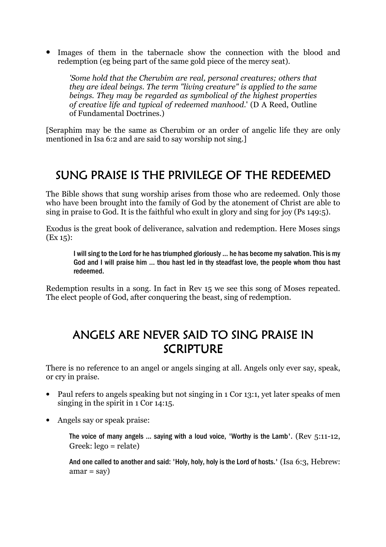• Images of them in the tabernacle show the connection with the blood and redemption (eg being part of the same gold piece of the mercy seat).

'Some hold that the Cherubim are real, personal creatures; others that they are ideal beings. The term "living creature" is applied to the same beings. They may be regarded as symbolical of the highest properties of creative life and typical of redeemed manhood.' (D A Reed, Outline of Fundamental Doctrines.)

[Seraphim may be the same as Cherubim or an order of angelic life they are only mentioned in Isa 6:2 and are said to say worship not sing.]

# SUNG PRAISE IS THE PRIVILEGE OF THE REDEEMED

The Bible shows that sung worship arises from those who are redeemed. Only those who have been brought into the family of God by the atonement of Christ are able to sing in praise to God. It is the faithful who exult in glory and sing for joy (Ps 149:5).

Exodus is the great book of deliverance, salvation and redemption. Here Moses sings  $(Ex 15):$ 

I will sing to the Lord for he has triumphed gloriously ... he has become my salvation. This is my God and I will praise him ... thou hast led in thy steadfast love, the people whom thou hast redeemed.

Redemption results in a song. In fact in Rev 15 we see this song of Moses repeated. The elect people of God, after conquering the beast, sing of redemption.

## ANGELS ARE NEVER SAID TO SING PRAISE IN SCRIPTURE

There is no reference to an angel or angels singing at all. Angels only ever say, speak, or cry in praise.

- Paul refers to angels speaking but not singing in 1 Cor 13:1, yet later speaks of men singing in the spirit in 1 Cor 14:15.
- Angels say or speak praise:

The voice of many angels ... saying with a loud voice, 'Worthy is the Lamb'. (Rev 5:11-12, Greek: lego = relate)

And one called to another and said: 'Holy, holy, holy is the Lord of hosts.' (Isa 6:3, Hebrew:  $amar = say$ )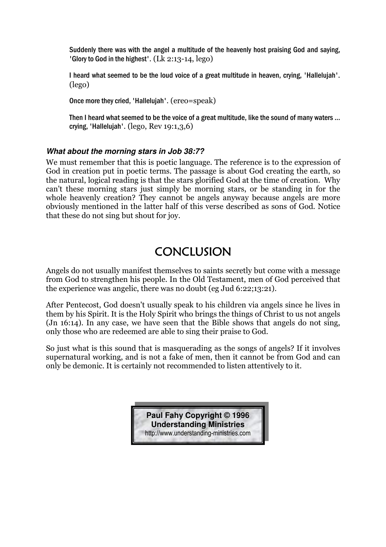Suddenly there was with the angel a multitude of the heavenly host praising God and saying, 'Glory to God in the highest'. (Lk 2:13-14, lego)

I heard what seemed to be the loud voice of a great multitude in heaven, crying, 'Hallelujah'. (lego)

Once more they cried, 'Hallelujah'. (ereo=speak)

Then I heard what seemed to be the voice of a great multitude, like the sound of many waters ... crying, 'Hallelujah'. (lego, Rev 19:1,3,6)

#### **What about the morning stars in Job 38:7?**

We must remember that this is poetic language. The reference is to the expression of God in creation put in poetic terms. The passage is about God creating the earth, so the natural, logical reading is that the stars glorified God at the time of creation. Why can't these morning stars just simply be morning stars, or be standing in for the whole heavenly creation? They cannot be angels anyway because angels are more obviously mentioned in the latter half of this verse described as sons of God. Notice that these do not sing but shout for joy.

## **CONCLUSION**

Angels do not usually manifest themselves to saints secretly but come with a message from God to strengthen his people. In the Old Testament, men of God perceived that the experience was angelic, there was no doubt (eg Jud 6:22;13:21).

After Pentecost, God doesn't usually speak to his children via angels since he lives in them by his Spirit. It is the Holy Spirit who brings the things of Christ to us not angels (Jn 16:14). In any case, we have seen that the Bible shows that angels do not sing, only those who are redeemed are able to sing their praise to God.

So just what is this sound that is masquerading as the songs of angels? If it involves supernatural working, and is not a fake of men, then it cannot be from God and can only be demonic. It is certainly not recommended to listen attentively to it.

> **Paul Fahy Copyright © 1996 Understanding Ministries**  http://www.understanding-ministries.com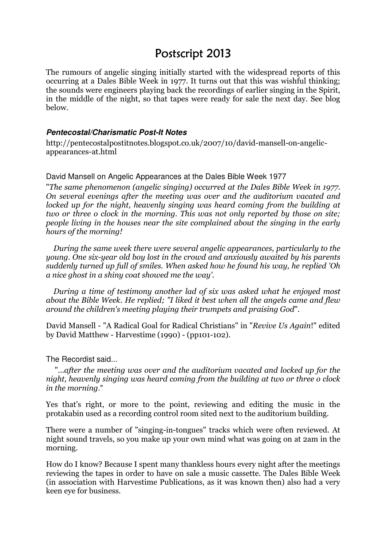### Postscript 2013

The rumours of angelic singing initially started with the widespread reports of this occurring at a Dales Bible Week in 1977. It turns out that this was wishful thinking; the sounds were engineers playing back the recordings of earlier singing in the Spirit, in the middle of the night, so that tapes were ready for sale the next day. See blog below.

#### **Pentecostal/Charismatic Post-It Notes**

http://pentecostalpostitnotes.blogspot.co.uk/2007/10/david-mansell-on-angelicappearances-at.html

David Mansell on Angelic Appearances at the Dales Bible Week 1977

"The same phenomenon (angelic singing) occurred at the Dales Bible Week in 1977. On several evenings after the meeting was over and the auditorium vacated and locked up for the night, heavenly singing was heard coming from the building at two or three o clock in the morning. This was not only reported by those on site; people living in the houses near the site complained about the singing in the early hours of the morning!

 During the same week there were several angelic appearances, particularly to the young. One six-year old boy lost in the crowd and anxiously awaited by his parents suddenly turned up full of smiles. When asked how he found his way, he replied 'Oh a nice ghost in a shiny coat showed me the way'.

 During a time of testimony another lad of six was asked what he enjoyed most about the Bible Week. He replied; "I liked it best when all the angels came and flew around the children's meeting playing their trumpets and praising God".

David Mansell - "A Radical Goal for Radical Christians" in "Revive Us Again!" edited by David Matthew - Harvestime (1990) - (pp101-102).

The Recordist said...

 "...after the meeting was over and the auditorium vacated and locked up for the night, heavenly singing was heard coming from the building at two or three o clock in the morning."

Yes that's right, or more to the point, reviewing and editing the music in the protakabin used as a recording control room sited next to the auditorium building.

There were a number of "singing-in-tongues" tracks which were often reviewed. At night sound travels, so you make up your own mind what was going on at 2am in the morning.

How do I know? Because I spent many thankless hours every night after the meetings reviewing the tapes in order to have on sale a music cassette. The Dales Bible Week (in association with Harvestime Publications, as it was known then) also had a very keen eye for business.